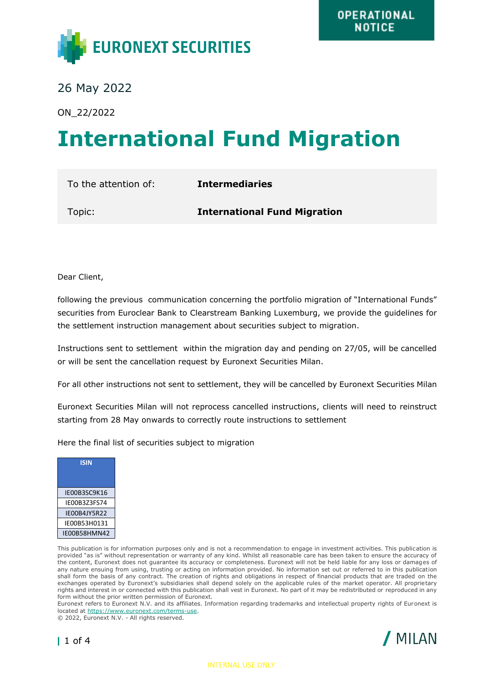

26 May 2022

ON\_22/2022

## **International Fund Migration**

To the attention of: **Intermediaries** Topic: **International Fund Migration**

Dear Client,

following the previous communication concerning the portfolio migration of "International Funds" securities from Euroclear Bank to Clearstream Banking Luxemburg, we provide the guidelines for the settlement instruction management about securities subject to migration.

Instructions sent to settlement within the migration day and pending on 27/05, will be cancelled or will be sent the cancellation request by Euronext Securities Milan.

For all other instructions not sent to settlement, they will be cancelled by Euronext Securities Milan

Euronext Securities Milan will not reprocess cancelled instructions, clients will need to reinstruct starting from 28 May onwards to correctly route instructions to settlement

Here the final list of securities subject to migration



This publication is for information purposes only and is not a recommendation to engage in investment activities. This publication is provided "as is" without representation or warranty of any kind. Whilst all reasonable care has been taken to ensure the accuracy of the content, Euronext does not guarantee its accuracy or completeness. Euronext will not be held liable for any loss or damages of any nature ensuing from using, trusting or acting on information provided. No information set out or referred to in this publication shall form the basis of any contract. The creation of rights and obligations in respect of financial products that are traded on the exchanges operated by Euronext's subsidiaries shall depend solely on the applicable rules of the market operator. All proprietary rights and interest in or connected with this publication shall vest in Euronext. No part of it may be redistributed or reproduced in any form without the prior written permission of Euronext.

Euronext refers to Euronext N.V. and its affiliates. Information regarding trademarks and intellectual property rights of Euronext is located at [https://www.euronext.com/terms-use.](https://www.euronext.com/terms-use)

© 2022, Euronext N.V. - All rights reserved.



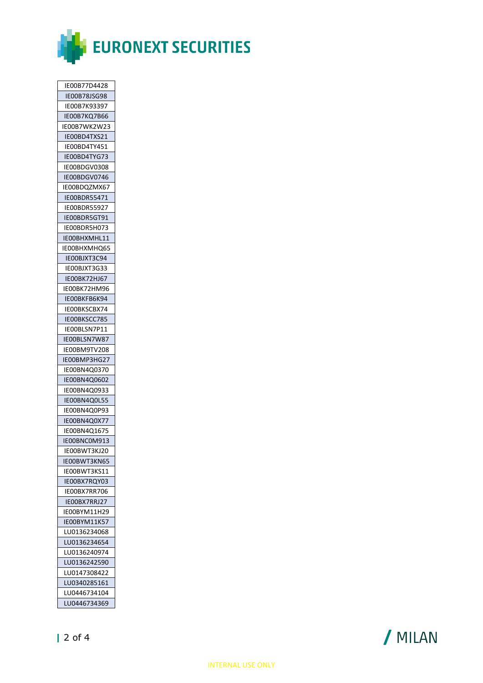

| IE00B77D4428      |
|-------------------|
| IE00B78JSG98      |
| IE00B7K93397      |
| IE00B7KQ7B66      |
| IE00B7WK2W23      |
| IE00BD4TXS21      |
| IE00BD4TY451      |
| IE00BD4TYG73      |
| IE00BDGV0308      |
| IE00BDGV0746      |
| IE00BDQZMX67      |
| IE00BDR55471      |
| IE00BDR55927      |
|                   |
| IE00BDR5GT91      |
| IE00BDR5H073      |
| IE00BHXMHL11      |
| IE00BHXMHQ65      |
| IE00BJXT3C94      |
| IE00BJXT3G33      |
| IE00BK72HJ67      |
| IE00BK72HM96      |
| IEOOBKFB6K94      |
| IE00BKSCBX74      |
| IE00BKSCC785      |
| IEOOBLSN7P11      |
| IE00BLSN7W87      |
| IE00BM9TV208      |
| IE00BMP3HG27      |
| IE00BN4Q0370      |
| IE00BN4Q0602      |
| IE00BN4Q0933      |
| IE00BN4Q0L55      |
| IE00BN4Q0P93      |
| IE00BN4Q0X77      |
| IE00BN4Q1675      |
| IE00BNC0M913<br>3 |
| IE00BWT3KJ20      |
| IE00BWT3KN65      |
| IE00BWT3KS11      |
|                   |
| IE00BX7RQY03      |
| IEOOBX7RR706      |
| IE00BX7RRJ27      |
| IE00BYM11H29      |
| IE00BYM11K57      |
| LU0136234068      |
| LU0136234654      |
| LU0136240974      |
| LU0136242590      |
| LU0147308422      |
| LU0340285161      |
| LU0446734104      |
| LU0446734369      |

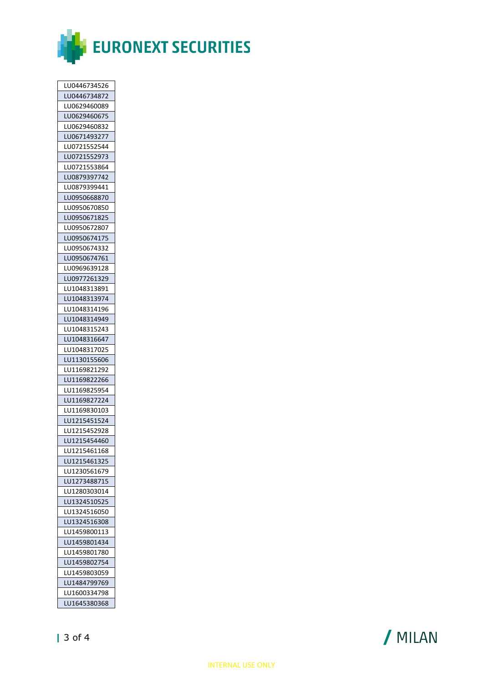

| LU0446734526 |
|--------------|
| LU0446734872 |
| LU0629460089 |
| LU0629460675 |
| LU0629460832 |
| LU0671493277 |
|              |
| LU0721552544 |
| LU0721552973 |
| LU0721553864 |
| LU0879397742 |
| LU0879399441 |
| LU0950668870 |
| LU0950670850 |
| LU0950671825 |
| LU0950672807 |
| LU0950674175 |
| LU0950674332 |
| LU0950674761 |
|              |
| LU0969639128 |
| LU0977261329 |
| LU1048313891 |
| LU1048313974 |
| LU1048314196 |
| LU1048314949 |
| LU1048315243 |
| LU1048316647 |
| LU1048317025 |
| LU1130155606 |
| LU1169821292 |
| LU1169822266 |
| LU1169825954 |
|              |
| LU1169827224 |
| LU1169830103 |
| LU1215451524 |
| LU1215452928 |
| LU1215454460 |
| LU1215461168 |
| LU1215461325 |
| LU1230561679 |
| LU1273488715 |
| LU1280303014 |
| LU1324510525 |
| LU1324516050 |
| LU1324516308 |
|              |
| LU1459800113 |
| LU1459801434 |
| LU1459801780 |
| LU1459802754 |
| LU1459803059 |
| LU1484799769 |
| LU1600334798 |
| LU1645380368 |